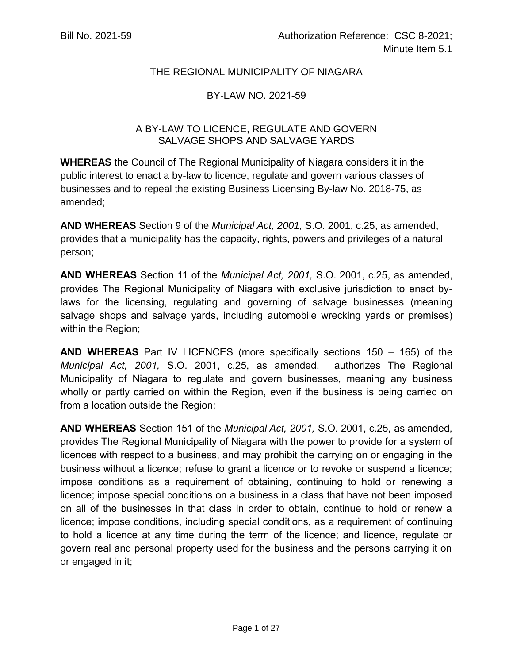### THE REGIONAL MUNICIPALITY OF NIAGARA

## BY-LAW NO. 2021-59

### A BY-LAW TO LICENCE, REGULATE AND GOVERN SALVAGE SHOPS AND SALVAGE YARDS

**WHEREAS** the Council of The Regional Municipality of Niagara considers it in the public interest to enact a by-law to licence, regulate and govern various classes of businesses and to repeal the existing Business Licensing By-law No. 2018-75, as amended;

**AND WHEREAS** Section 9 of the *Municipal Act, 2001,* S.O. 2001, c.25, as amended, provides that a municipality has the capacity, rights, powers and privileges of a natural person;

**AND WHEREAS** Section 11 of the *Municipal Act, 2001,* S.O. 2001, c.25, as amended, provides The Regional Municipality of Niagara with exclusive jurisdiction to enact bylaws for the licensing, regulating and governing of salvage businesses (meaning salvage shops and salvage yards, including automobile wrecking yards or premises) within the Region;

**AND WHEREAS** Part IV LICENCES (more specifically sections 150 – 165) of the *Municipal Act, 2001,* S.O. 2001, c.25, as amended, authorizes The Regional Municipality of Niagara to regulate and govern businesses, meaning any business wholly or partly carried on within the Region, even if the business is being carried on from a location outside the Region;

**AND WHEREAS** Section 151 of the *Municipal Act, 2001,* S.O. 2001, c.25, as amended, provides The Regional Municipality of Niagara with the power to provide for a system of licences with respect to a business, and may prohibit the carrying on or engaging in the business without a licence; refuse to grant a licence or to revoke or suspend a licence; impose conditions as a requirement of obtaining, continuing to hold or renewing a licence; impose special conditions on a business in a class that have not been imposed on all of the businesses in that class in order to obtain, continue to hold or renew a licence; impose conditions, including special conditions, as a requirement of continuing to hold a licence at any time during the term of the licence; and licence, regulate or govern real and personal property used for the business and the persons carrying it on or engaged in it;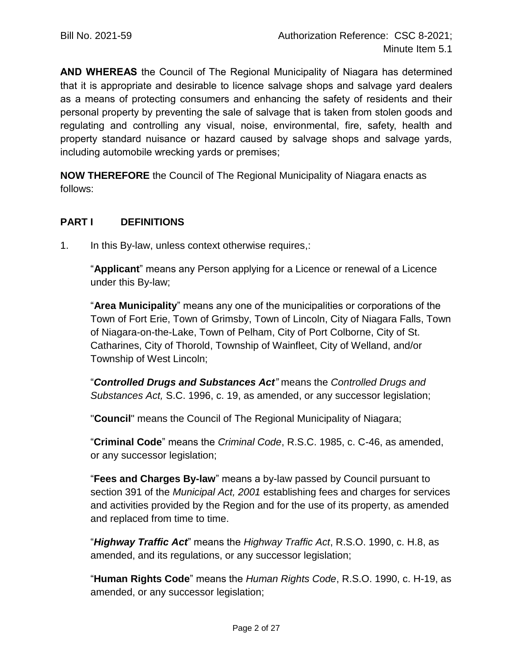**AND WHEREAS** the Council of The Regional Municipality of Niagara has determined that it is appropriate and desirable to licence salvage shops and salvage yard dealers as a means of protecting consumers and enhancing the safety of residents and their personal property by preventing the sale of salvage that is taken from stolen goods and regulating and controlling any visual, noise, environmental, fire, safety, health and property standard nuisance or hazard caused by salvage shops and salvage yards, including automobile wrecking yards or premises;

**NOW THEREFORE** the Council of The Regional Municipality of Niagara enacts as follows:

#### **PART I DEFINITIONS**

1. In this By-law, unless context otherwise requires,:

"**Applicant**" means any Person applying for a Licence or renewal of a Licence under this By-law;

"**Area Municipality**" means any one of the municipalities or corporations of the Town of Fort Erie, Town of Grimsby, Town of Lincoln, City of Niagara Falls, Town of Niagara-on-the-Lake, Town of Pelham, City of Port Colborne, City of St. Catharines, City of Thorold, Township of Wainfleet, City of Welland, and/or Township of West Lincoln;

"*Controlled Drugs and Substances Act"* means the *Controlled Drugs and Substances Act,* S.C. 1996, c. 19, as amended, or any successor legislation;

"**Council**" means the Council of The Regional Municipality of Niagara;

"**Criminal Code**" means the *Criminal Code*, R.S.C. 1985, c. C-46, as amended, or any successor legislation;

"**Fees and Charges By-law**" means a by-law passed by Council pursuant to section 391 of the *Municipal Act, 2001* establishing fees and charges for services and activities provided by the Region and for the use of its property, as amended and replaced from time to time.

"*Highway Traffic Act*" means the *Highway Traffic Act*, R.S.O. 1990, c. H.8, as amended, and its regulations, or any successor legislation;

"**Human Rights Code**" means the *Human Rights Code*, R.S.O. 1990, c. H-19, as amended, or any successor legislation;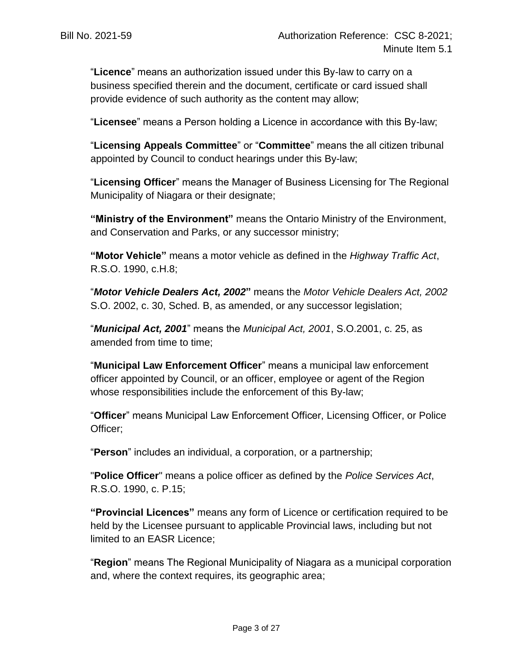"**Licence**" means an authorization issued under this By-law to carry on a business specified therein and the document, certificate or card issued shall provide evidence of such authority as the content may allow;

"**Licensee**" means a Person holding a Licence in accordance with this By-law;

"**Licensing Appeals Committee**" or "**Committee**" means the all citizen tribunal appointed by Council to conduct hearings under this By-law;

"**Licensing Officer**" means the Manager of Business Licensing for The Regional Municipality of Niagara or their designate;

**"Ministry of the Environment"** means the Ontario Ministry of the Environment, and Conservation and Parks, or any successor ministry;

**"Motor Vehicle"** means a motor vehicle as defined in the *Highway Traffic Act*, R.S.O. 1990, c.H.8;

"*Motor Vehicle Dealers Act, 2002***"** means the *Motor Vehicle Dealers Act, 2002* S.O. 2002, c. 30, Sched. B, as amended, or any successor legislation;

"*Municipal Act, 2001*" means the *Municipal Act, 2001*, S.O.2001, c. 25, as amended from time to time;

"**Municipal Law Enforcement Officer**" means a municipal law enforcement officer appointed by Council, or an officer, employee or agent of the Region whose responsibilities include the enforcement of this By-law;

"**Officer**" means Municipal Law Enforcement Officer, Licensing Officer, or Police Officer;

"**Person**" includes an individual, a corporation, or a partnership;

"**Police Officer**" means a police officer as defined by the *Police Services Act*, R.S.O. 1990, c. P.15;

**"Provincial Licences"** means any form of Licence or certification required to be held by the Licensee pursuant to applicable Provincial laws, including but not limited to an EASR Licence;

"**Region**" means The Regional Municipality of Niagara as a municipal corporation and, where the context requires, its geographic area;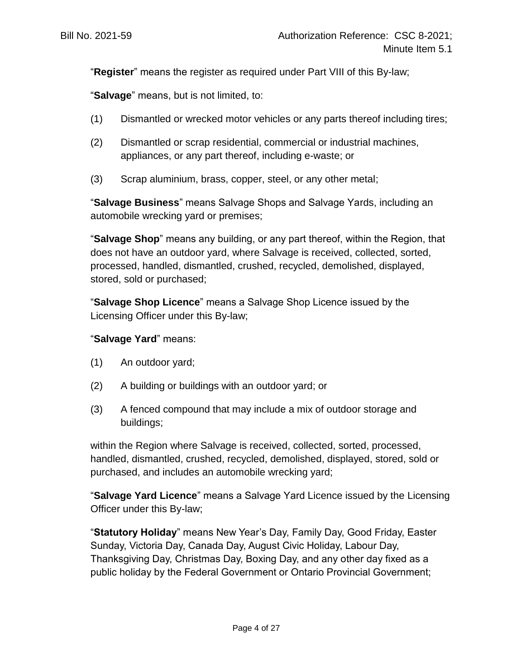"**Register**" means the register as required under Part VIII of this By-law;

"**Salvage**" means, but is not limited, to:

- (1) Dismantled or wrecked motor vehicles or any parts thereof including tires;
- (2) Dismantled or scrap residential, commercial or industrial machines, appliances, or any part thereof, including e-waste; or
- (3) Scrap aluminium, brass, copper, steel, or any other metal;

"**Salvage Business**" means Salvage Shops and Salvage Yards, including an automobile wrecking yard or premises;

"**Salvage Shop**" means any building, or any part thereof, within the Region, that does not have an outdoor yard, where Salvage is received, collected, sorted, processed, handled, dismantled, crushed, recycled, demolished, displayed, stored, sold or purchased;

"**Salvage Shop Licence**" means a Salvage Shop Licence issued by the Licensing Officer under this By-law;

### "**Salvage Yard**" means:

- (1) An outdoor yard;
- (2) A building or buildings with an outdoor yard; or
- (3) A fenced compound that may include a mix of outdoor storage and buildings;

within the Region where Salvage is received, collected, sorted, processed, handled, dismantled, crushed, recycled, demolished, displayed, stored, sold or purchased, and includes an automobile wrecking yard;

"**Salvage Yard Licence**" means a Salvage Yard Licence issued by the Licensing Officer under this By-law;

"**Statutory Holiday**" means New Year's Day, Family Day, Good Friday, Easter Sunday, Victoria Day, Canada Day, August Civic Holiday, Labour Day, Thanksgiving Day, Christmas Day, Boxing Day, and any other day fixed as a public holiday by the Federal Government or Ontario Provincial Government;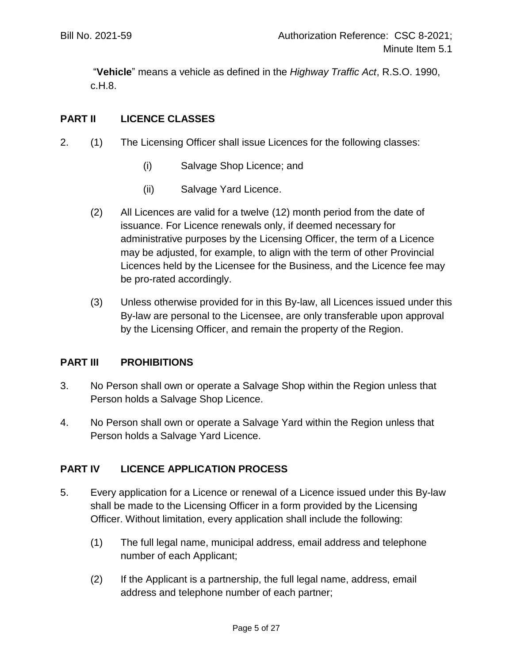"**Vehicle**" means a vehicle as defined in the *Highway Traffic Act*, R.S.O. 1990, c.H.8.

## **PART II LICENCE CLASSES**

- <span id="page-4-0"></span>2. (1) The Licensing Officer shall issue Licences for the following classes:
	- (i) Salvage Shop Licence; and
	- (ii) Salvage Yard Licence.
	- (2) All Licences are valid for a twelve (12) month period from the date of issuance. For Licence renewals only, if deemed necessary for administrative purposes by the Licensing Officer, the term of a Licence may be adjusted, for example, to align with the term of other Provincial Licences held by the Licensee for the Business, and the Licence fee may be pro-rated accordingly.
	- (3) Unless otherwise provided for in this By-law, all Licences issued under this By-law are personal to the Licensee, are only transferable upon approval by the Licensing Officer, and remain the property of the Region.

### **PART III PROHIBITIONS**

- 3. No Person shall own or operate a Salvage Shop within the Region unless that Person holds a Salvage Shop Licence.
- 4. No Person shall own or operate a Salvage Yard within the Region unless that Person holds a Salvage Yard Licence.

# **PART IV LICENCE APPLICATION PROCESS**

- 5. Every application for a Licence or renewal of a Licence issued under this By-law shall be made to the Licensing Officer in a form provided by the Licensing Officer. Without limitation, every application shall include the following:
	- (1) The full legal name, municipal address, email address and telephone number of each Applicant;
	- (2) If the Applicant is a partnership, the full legal name, address, email address and telephone number of each partner;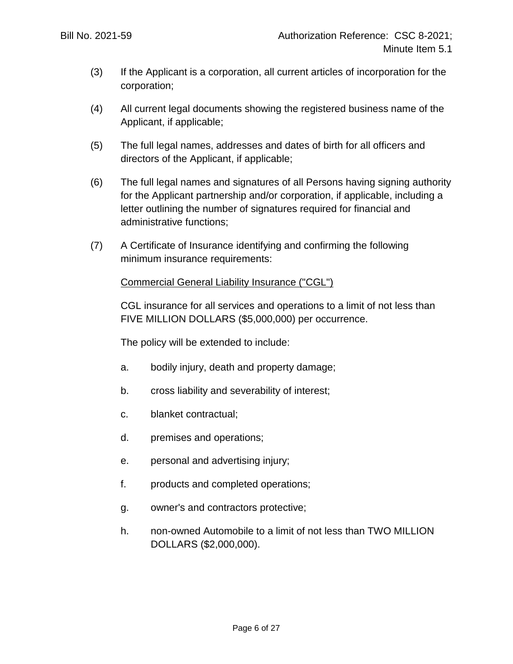- (3) If the Applicant is a corporation, all current articles of incorporation for the corporation;
- (4) All current legal documents showing the registered business name of the Applicant, if applicable;
- (5) The full legal names, addresses and dates of birth for all officers and directors of the Applicant, if applicable;
- (6) The full legal names and signatures of all Persons having signing authority for the Applicant partnership and/or corporation, if applicable, including a letter outlining the number of signatures required for financial and administrative functions;
- (7) A Certificate of Insurance identifying and confirming the following minimum insurance requirements:

## Commercial General Liability Insurance ("CGL")

CGL insurance for all services and operations to a limit of not less than FIVE MILLION DOLLARS (\$5,000,000) per occurrence.

The policy will be extended to include:

- a. bodily injury, death and property damage;
- b. cross liability and severability of interest;
- c. blanket contractual;
- d. premises and operations;
- e. personal and advertising injury;
- f. products and completed operations;
- g. owner's and contractors protective;
- h. non-owned Automobile to a limit of not less than TWO MILLION DOLLARS (\$2,000,000).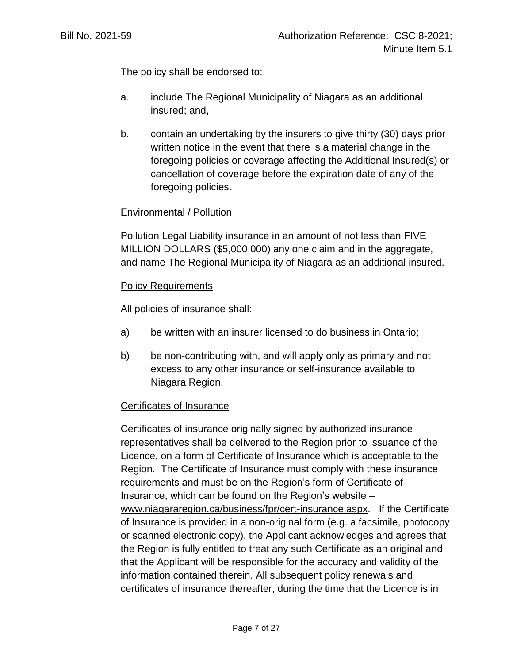The policy shall be endorsed to:

- a. include The Regional Municipality of Niagara as an additional insured; and,
- b. contain an undertaking by the insurers to give thirty (30) days prior written notice in the event that there is a material change in the foregoing policies or coverage affecting the Additional Insured(s) or cancellation of coverage before the expiration date of any of the foregoing policies.

### Environmental / Pollution

Pollution Legal Liability insurance in an amount of not less than FIVE MILLION DOLLARS (\$5,000,000) any one claim and in the aggregate, and name The Regional Municipality of Niagara as an additional insured.

#### Policy Requirements

All policies of insurance shall:

- a) be written with an insurer licensed to do business in Ontario;
- b) be non-contributing with, and will apply only as primary and not excess to any other insurance or self-insurance available to Niagara Region.

#### Certificates of Insurance

Certificates of insurance originally signed by authorized insurance representatives shall be delivered to the Region prior to issuance of the Licence, on a form of Certificate of Insurance which is acceptable to the Region. The Certificate of Insurance must comply with these insurance requirements and must be on the Region's form of Certificate of Insurance, which can be found on the Region's website – [www.niagararegion.ca/business/fpr/cert-insurance.aspx.](http://www.niagararegion.ca/business/fpr/cert-insurance.aspx) If the Certificate of Insurance is provided in a non-original form (e.g. a facsimile, photocopy or scanned electronic copy), the Applicant acknowledges and agrees that the Region is fully entitled to treat any such Certificate as an original and that the Applicant will be responsible for the accuracy and validity of the information contained therein. All subsequent policy renewals and certificates of insurance thereafter, during the time that the Licence is in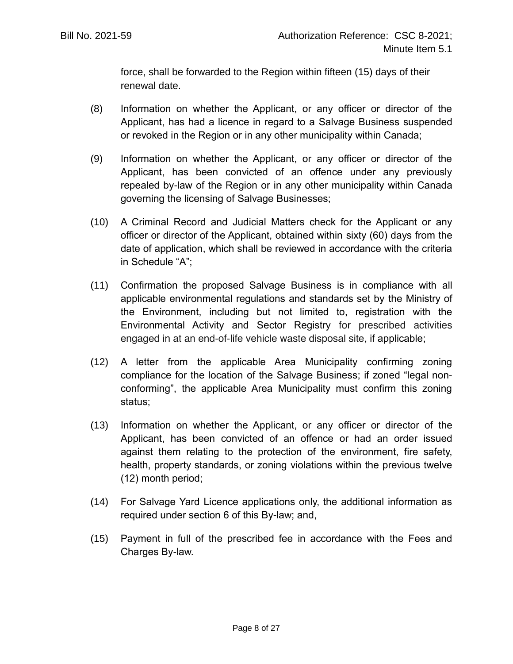force, shall be forwarded to the Region within fifteen (15) days of their renewal date.

- (8) Information on whether the Applicant, or any officer or director of the Applicant, has had a licence in regard to a Salvage Business suspended or revoked in the Region or in any other municipality within Canada;
- (9) Information on whether the Applicant, or any officer or director of the Applicant, has been convicted of an offence under any previously repealed by-law of the Region or in any other municipality within Canada governing the licensing of Salvage Businesses;
- (10) A Criminal Record and Judicial Matters check for the Applicant or any officer or director of the Applicant, obtained within sixty (60) days from the date of application, which shall be reviewed in accordance with the criteria in Schedule "A";
- (11) Confirmation the proposed Salvage Business is in compliance with all applicable environmental regulations and standards set by the Ministry of the Environment, including but not limited to, registration with the Environmental Activity and Sector Registry for prescribed activities engaged in at an end-of-life vehicle waste disposal site, if applicable;
- (12) A letter from the applicable Area Municipality confirming zoning compliance for the location of the Salvage Business; if zoned "legal nonconforming", the applicable Area Municipality must confirm this zoning status;
- (13) Information on whether the Applicant, or any officer or director of the Applicant, has been convicted of an offence or had an order issued against them relating to the protection of the environment, fire safety, health, property standards, or zoning violations within the previous twelve (12) month period;
- (14) For Salvage Yard Licence applications only, the additional information as required under section 6 of this By-law; and,
- (15) Payment in full of the prescribed fee in accordance with the Fees and Charges By-law.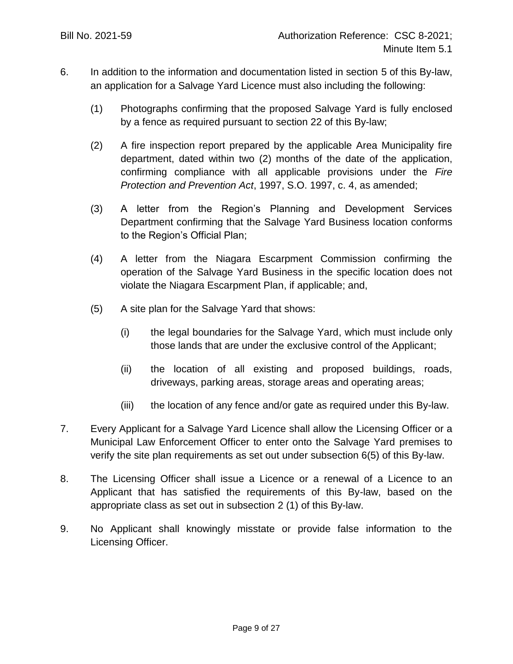- 6. In addition to the information and documentation listed in section 5 of this By-law, an application for a Salvage Yard Licence must also including the following:
	- (1) Photographs confirming that the proposed Salvage Yard is fully enclosed by a fence as required pursuant to section 22 of this By-law;
	- (2) A fire inspection report prepared by the applicable Area Municipality fire department, dated within two (2) months of the date of the application, confirming compliance with all applicable provisions under the *Fire Protection and Prevention Act*, 1997, S.O. 1997, c. 4, as amended;
	- (3) A letter from the Region's Planning and Development Services Department confirming that the Salvage Yard Business location conforms to the Region's Official Plan;
	- (4) A letter from the Niagara Escarpment Commission confirming the operation of the Salvage Yard Business in the specific location does not violate the Niagara Escarpment Plan, if applicable; and,
	- (5) A site plan for the Salvage Yard that shows:
		- (i) the legal boundaries for the Salvage Yard, which must include only those lands that are under the exclusive control of the Applicant;
		- (ii) the location of all existing and proposed buildings, roads, driveways, parking areas, storage areas and operating areas;
		- (iii) the location of any fence and/or gate as required under this By-law.
- <span id="page-8-0"></span>7. Every Applicant for a Salvage Yard Licence shall allow the Licensing Officer or a Municipal Law Enforcement Officer to enter onto the Salvage Yard premises to verify the site plan requirements as set out under subsection [6\(5\)](#page-8-0) of this By-law.
- 8. The Licensing Officer shall issue a Licence or a renewal of a Licence to an Applicant that has satisfied the requirements of this By-law, based on the appropriate class as set out in subsection [2](#page-4-0) (1) of this By-law.
- 9. No Applicant shall knowingly misstate or provide false information to the Licensing Officer.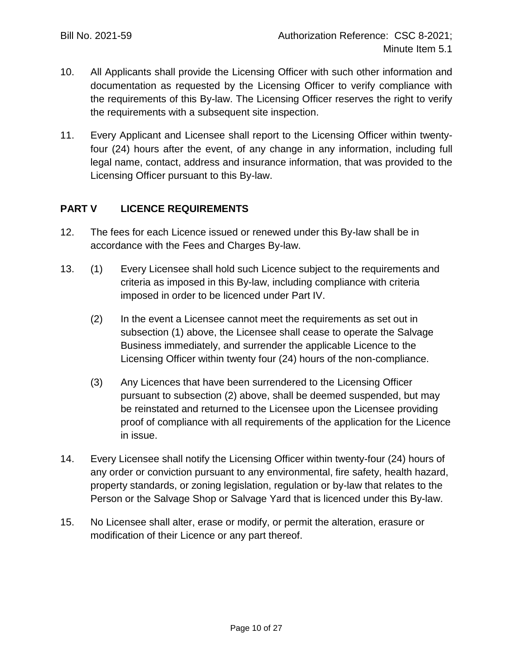- 10. All Applicants shall provide the Licensing Officer with such other information and documentation as requested by the Licensing Officer to verify compliance with the requirements of this By-law. The Licensing Officer reserves the right to verify the requirements with a subsequent site inspection.
- 11. Every Applicant and Licensee shall report to the Licensing Officer within twentyfour (24) hours after the event, of any change in any information, including full legal name, contact, address and insurance information, that was provided to the Licensing Officer pursuant to this By-law.

# **PART V LICENCE REQUIREMENTS**

- 12. The fees for each Licence issued or renewed under this By-law shall be in accordance with the Fees and Charges By-law.
- 13. (1) Every Licensee shall hold such Licence subject to the requirements and criteria as imposed in this By-law, including compliance with criteria imposed in order to be licenced under Part IV.
	- (2) In the event a Licensee cannot meet the requirements as set out in subsection (1) above, the Licensee shall cease to operate the Salvage Business immediately, and surrender the applicable Licence to the Licensing Officer within twenty four (24) hours of the non-compliance.
	- (3) Any Licences that have been surrendered to the Licensing Officer pursuant to subsection (2) above, shall be deemed suspended, but may be reinstated and returned to the Licensee upon the Licensee providing proof of compliance with all requirements of the application for the Licence in issue.
- 14. Every Licensee shall notify the Licensing Officer within twenty-four (24) hours of any order or conviction pursuant to any environmental, fire safety, health hazard, property standards, or zoning legislation, regulation or by-law that relates to the Person or the Salvage Shop or Salvage Yard that is licenced under this By-law.
- 15. No Licensee shall alter, erase or modify, or permit the alteration, erasure or modification of their Licence or any part thereof.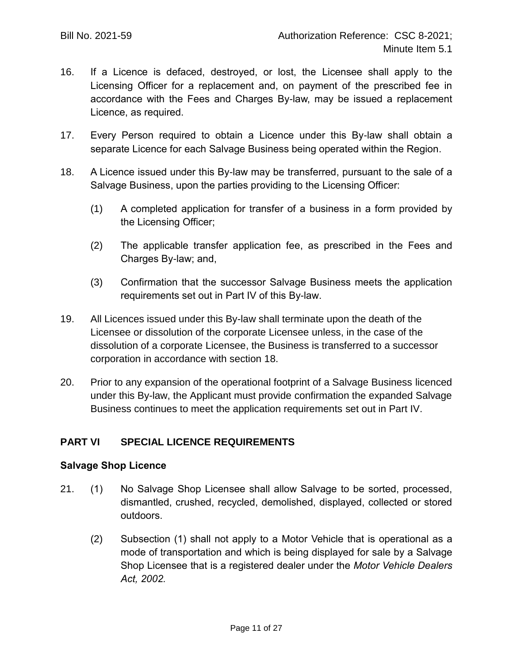- 16. If a Licence is defaced, destroyed, or lost, the Licensee shall apply to the Licensing Officer for a replacement and, on payment of the prescribed fee in accordance with the Fees and Charges By-law, may be issued a replacement Licence, as required.
- 17. Every Person required to obtain a Licence under this By-law shall obtain a separate Licence for each Salvage Business being operated within the Region.
- 18. A Licence issued under this By-law may be transferred, pursuant to the sale of a Salvage Business, upon the parties providing to the Licensing Officer:
	- (1) A completed application for transfer of a business in a form provided by the Licensing Officer;
	- (2) The applicable transfer application fee, as prescribed in the Fees and Charges By-law; and,
	- (3) Confirmation that the successor Salvage Business meets the application requirements set out in Part IV of this By-law.
- 19. All Licences issued under this By-law shall terminate upon the death of the Licensee or dissolution of the corporate Licensee unless, in the case of the dissolution of a corporate Licensee, the Business is transferred to a successor corporation in accordance with section 18.
- 20. Prior to any expansion of the operational footprint of a Salvage Business licenced under this By-law, the Applicant must provide confirmation the expanded Salvage Business continues to meet the application requirements set out in Part IV.

### **PART VI SPECIAL LICENCE REQUIREMENTS**

#### **Salvage Shop Licence**

- 21. (1) No Salvage Shop Licensee shall allow Salvage to be sorted, processed, dismantled, crushed, recycled, demolished, displayed, collected or stored outdoors.
	- (2) Subsection (1) shall not apply to a Motor Vehicle that is operational as a mode of transportation and which is being displayed for sale by a Salvage Shop Licensee that is a registered dealer under the *Motor Vehicle Dealers Act, 2002.*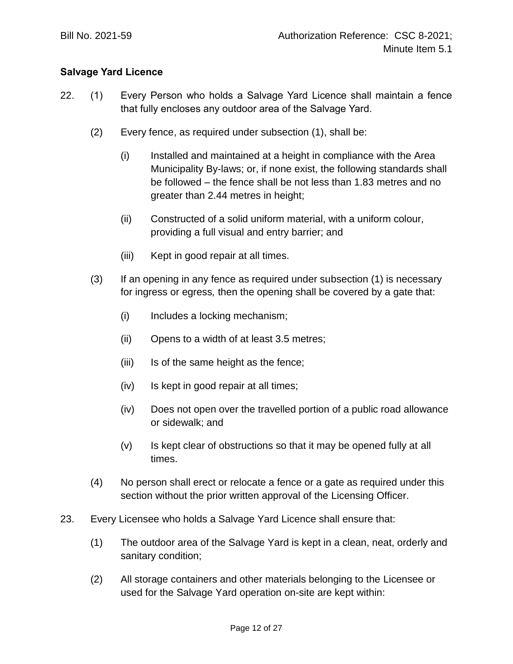## **Salvage Yard Licence**

- 22. (1) Every Person who holds a Salvage Yard Licence shall maintain a fence that fully encloses any outdoor area of the Salvage Yard.
	- (2) Every fence, as required under subsection (1), shall be:
		- (i) Installed and maintained at a height in compliance with the Area Municipality By-laws; or, if none exist, the following standards shall be followed – the fence shall be not less than 1.83 metres and no greater than 2.44 metres in height;
		- (ii) Constructed of a solid uniform material, with a uniform colour, providing a full visual and entry barrier; and
		- (iii) Kept in good repair at all times.
	- (3) If an opening in any fence as required under subsection (1) is necessary for ingress or egress*,* then the opening shall be covered by a gate that:
		- (i) Includes a locking mechanism;
		- (ii) Opens to a width of at least 3.5 metres;
		- (iii) Is of the same height as the fence;
		- (iv) Is kept in good repair at all times;
		- (iv) Does not open over the travelled portion of a public road allowance or sidewalk; and
		- (v) Is kept clear of obstructions so that it may be opened fully at all times.
	- (4) No person shall erect or relocate a fence or a gate as required under this section without the prior written approval of the Licensing Officer.
- 23. Every Licensee who holds a Salvage Yard Licence shall ensure that:
	- (1) The outdoor area of the Salvage Yard is kept in a clean, neat, orderly and sanitary condition;
	- (2) All storage containers and other materials belonging to the Licensee or used for the Salvage Yard operation on-site are kept within: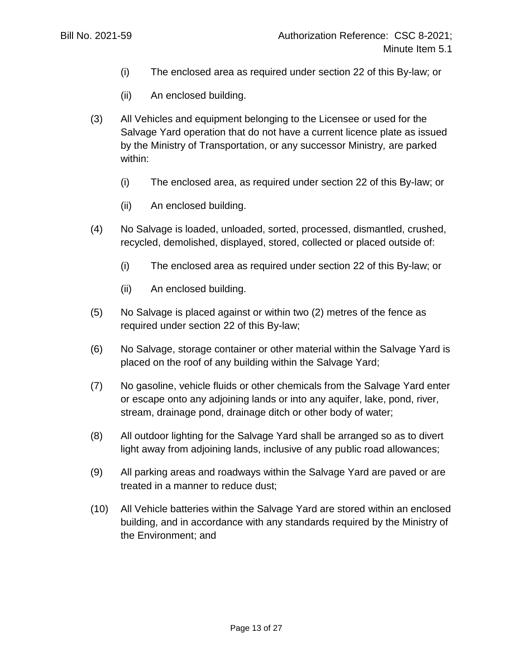- (i) The enclosed area as required under section 22 of this By-law; or
- (ii) An enclosed building.
- (3) All Vehicles and equipment belonging to the Licensee or used for the Salvage Yard operation that do not have a current licence plate as issued by the Ministry of Transportation, or any successor Ministry*,* are parked within:
	- (i) The enclosed area, as required under section 22 of this By-law; or
	- (ii) An enclosed building.
- (4) No Salvage is loaded, unloaded, sorted, processed, dismantled, crushed, recycled, demolished, displayed, stored, collected or placed outside of:
	- (i) The enclosed area as required under section 22 of this By-law; or
	- (ii) An enclosed building.
- (5) No Salvage is placed against or within two (2) metres of the fence as required under section 22 of this By-law;
- (6) No Salvage, storage container or other material within the Salvage Yard is placed on the roof of any building within the Salvage Yard;
- (7) No gasoline, vehicle fluids or other chemicals from the Salvage Yard enter or escape onto any adjoining lands or into any aquifer, lake, pond, river, stream, drainage pond, drainage ditch or other body of water;
- (8) All outdoor lighting for the Salvage Yard shall be arranged so as to divert light away from adjoining lands, inclusive of any public road allowances;
- (9) All parking areas and roadways within the Salvage Yard are paved or are treated in a manner to reduce dust;
- (10) All Vehicle batteries within the Salvage Yard are stored within an enclosed building, and in accordance with any standards required by the Ministry of the Environment; and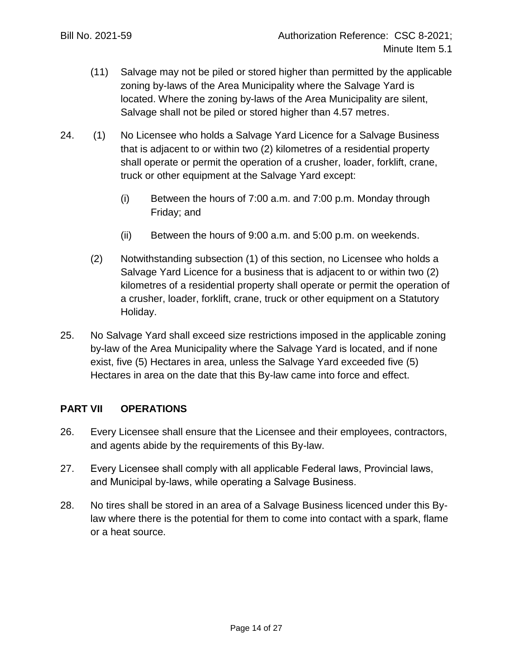- (11) Salvage may not be piled or stored higher than permitted by the applicable zoning by-laws of the Area Municipality where the Salvage Yard is located. Where the zoning by-laws of the Area Municipality are silent, Salvage shall not be piled or stored higher than 4.57 metres.
- 24. (1) No Licensee who holds a Salvage Yard Licence for a Salvage Business that is adjacent to or within two (2) kilometres of a residential property shall operate or permit the operation of a crusher, loader, forklift, crane, truck or other equipment at the Salvage Yard except:
	- (i) Between the hours of 7:00 a.m. and 7:00 p.m. Monday through Friday; and
	- (ii) Between the hours of 9:00 a.m. and 5:00 p.m. on weekends.
	- (2) Notwithstanding subsection (1) of this section, no Licensee who holds a Salvage Yard Licence for a business that is adjacent to or within two (2) kilometres of a residential property shall operate or permit the operation of a crusher, loader, forklift, crane, truck or other equipment on a Statutory Holiday.
- 25. No Salvage Yard shall exceed size restrictions imposed in the applicable zoning by-law of the Area Municipality where the Salvage Yard is located, and if none exist, five (5) Hectares in area, unless the Salvage Yard exceeded five (5) Hectares in area on the date that this By-law came into force and effect.

### **PART VII OPERATIONS**

- 26. Every Licensee shall ensure that the Licensee and their employees, contractors, and agents abide by the requirements of this By-law.
- 27. Every Licensee shall comply with all applicable Federal laws, Provincial laws, and Municipal by-laws, while operating a Salvage Business.
- 28. No tires shall be stored in an area of a Salvage Business licenced under this Bylaw where there is the potential for them to come into contact with a spark, flame or a heat source.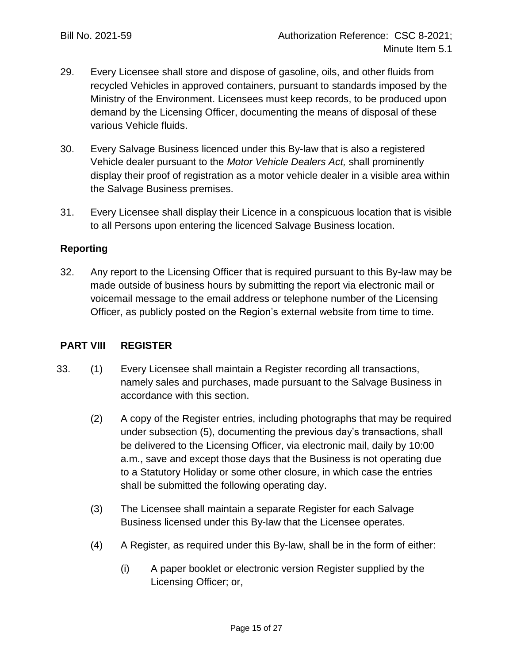- 29. Every Licensee shall store and dispose of gasoline, oils, and other fluids from recycled Vehicles in approved containers, pursuant to standards imposed by the Ministry of the Environment. Licensees must keep records, to be produced upon demand by the Licensing Officer, documenting the means of disposal of these various Vehicle fluids.
- 30. Every Salvage Business licenced under this By-law that is also a registered Vehicle dealer pursuant to the *Motor Vehicle Dealers Act,* shall prominently display their proof of registration as a motor vehicle dealer in a visible area within the Salvage Business premises.
- 31. Every Licensee shall display their Licence in a conspicuous location that is visible to all Persons upon entering the licenced Salvage Business location.

## **Reporting**

32. Any report to the Licensing Officer that is required pursuant to this By-law may be made outside of business hours by submitting the report via electronic mail or voicemail message to the email address or telephone number of the Licensing Officer, as publicly posted on the Region's external website from time to time.

### **PART VIII REGISTER**

- 33. (1) Every Licensee shall maintain a Register recording all transactions, namely sales and purchases, made pursuant to the Salvage Business in accordance with this section.
	- (2) A copy of the Register entries, including photographs that may be required under subsection (5), documenting the previous day's transactions, shall be delivered to the Licensing Officer, via electronic mail, daily by 10:00 a.m., save and except those days that the Business is not operating due to a Statutory Holiday or some other closure, in which case the entries shall be submitted the following operating day.
	- (3) The Licensee shall maintain a separate Register for each Salvage Business licensed under this By-law that the Licensee operates.
	- (4) A Register, as required under this By-law, shall be in the form of either:
		- (i) A paper booklet or electronic version Register supplied by the Licensing Officer; or,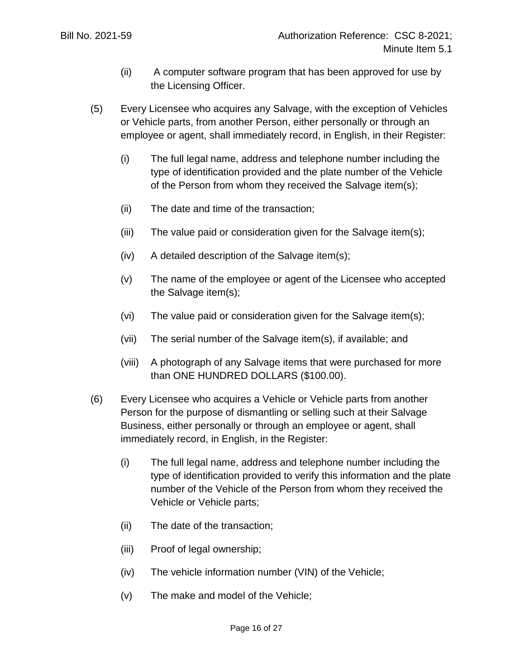- (ii) A computer software program that has been approved for use by the Licensing Officer.
- (5) Every Licensee who acquires any Salvage, with the exception of Vehicles or Vehicle parts, from another Person, either personally or through an employee or agent, shall immediately record, in English, in their Register:
	- (i) The full legal name, address and telephone number including the type of identification provided and the plate number of the Vehicle of the Person from whom they received the Salvage item(s);
	- (ii) The date and time of the transaction;
	- (iii) The value paid or consideration given for the Salvage item(s);
	- (iv) A detailed description of the Salvage item(s);
	- (v) The name of the employee or agent of the Licensee who accepted the Salvage item(s);
	- (vi) The value paid or consideration given for the Salvage item(s);
	- (vii) The serial number of the Salvage item(s), if available; and
	- (viii) A photograph of any Salvage items that were purchased for more than ONE HUNDRED DOLLARS (\$100.00).
- (6) Every Licensee who acquires a Vehicle or Vehicle parts from another Person for the purpose of dismantling or selling such at their Salvage Business, either personally or through an employee or agent, shall immediately record, in English, in the Register:
	- (i) The full legal name, address and telephone number including the type of identification provided to verify this information and the plate number of the Vehicle of the Person from whom they received the Vehicle or Vehicle parts;
	- (ii) The date of the transaction;
	- (iii) Proof of legal ownership;
	- (iv) The vehicle information number (VIN) of the Vehicle;
	- (v) The make and model of the Vehicle;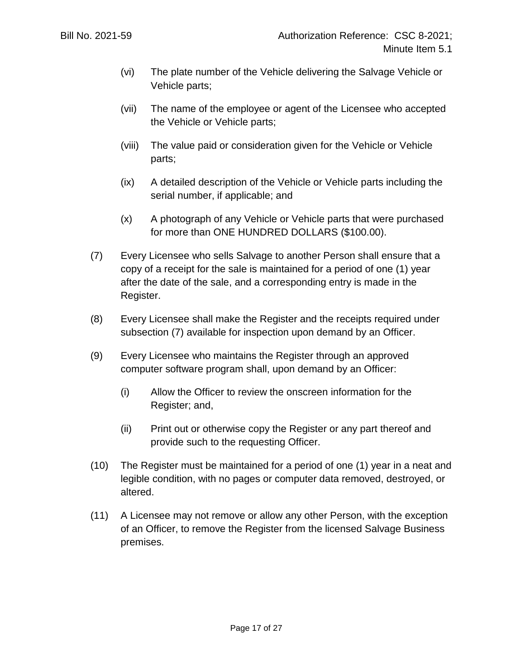- (vi) The plate number of the Vehicle delivering the Salvage Vehicle or Vehicle parts;
- (vii) The name of the employee or agent of the Licensee who accepted the Vehicle or Vehicle parts;
- (viii) The value paid or consideration given for the Vehicle or Vehicle parts;
- (ix) A detailed description of the Vehicle or Vehicle parts including the serial number, if applicable; and
- (x) A photograph of any Vehicle or Vehicle parts that were purchased for more than ONE HUNDRED DOLLARS (\$100.00).
- (7) Every Licensee who sells Salvage to another Person shall ensure that a copy of a receipt for the sale is maintained for a period of one (1) year after the date of the sale, and a corresponding entry is made in the Register.
- (8) Every Licensee shall make the Register and the receipts required under subsection (7) available for inspection upon demand by an Officer.
- (9) Every Licensee who maintains the Register through an approved computer software program shall, upon demand by an Officer:
	- (i) Allow the Officer to review the onscreen information for the Register; and,
	- (ii) Print out or otherwise copy the Register or any part thereof and provide such to the requesting Officer.
- (10) The Register must be maintained for a period of one (1) year in a neat and legible condition, with no pages or computer data removed, destroyed, or altered.
- (11) A Licensee may not remove or allow any other Person, with the exception of an Officer, to remove the Register from the licensed Salvage Business premises.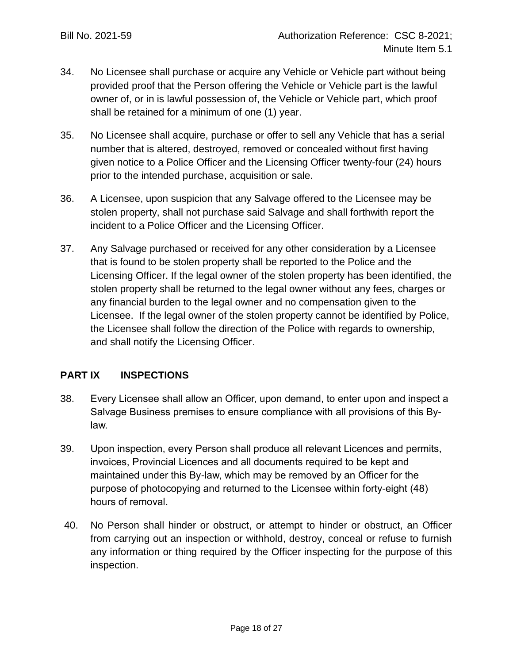- 34. No Licensee shall purchase or acquire any Vehicle or Vehicle part without being provided proof that the Person offering the Vehicle or Vehicle part is the lawful owner of, or in is lawful possession of, the Vehicle or Vehicle part, which proof shall be retained for a minimum of one (1) year.
- 35. No Licensee shall acquire, purchase or offer to sell any Vehicle that has a serial number that is altered, destroyed, removed or concealed without first having given notice to a Police Officer and the Licensing Officer twenty-four (24) hours prior to the intended purchase, acquisition or sale.
- 36. A Licensee, upon suspicion that any Salvage offered to the Licensee may be stolen property, shall not purchase said Salvage and shall forthwith report the incident to a Police Officer and the Licensing Officer.
- 37. Any Salvage purchased or received for any other consideration by a Licensee that is found to be stolen property shall be reported to the Police and the Licensing Officer. If the legal owner of the stolen property has been identified, the stolen property shall be returned to the legal owner without any fees, charges or any financial burden to the legal owner and no compensation given to the Licensee. If the legal owner of the stolen property cannot be identified by Police, the Licensee shall follow the direction of the Police with regards to ownership, and shall notify the Licensing Officer.

# **PART IX INSPECTIONS**

- 38. Every Licensee shall allow an Officer, upon demand, to enter upon and inspect a Salvage Business premises to ensure compliance with all provisions of this Bylaw.
- 39. Upon inspection, every Person shall produce all relevant Licences and permits, invoices, Provincial Licences and all documents required to be kept and maintained under this By-law, which may be removed by an Officer for the purpose of photocopying and returned to the Licensee within forty-eight (48) hours of removal.
- 40. No Person shall hinder or obstruct, or attempt to hinder or obstruct, an Officer from carrying out an inspection or withhold, destroy, conceal or refuse to furnish any information or thing required by the Officer inspecting for the purpose of this inspection.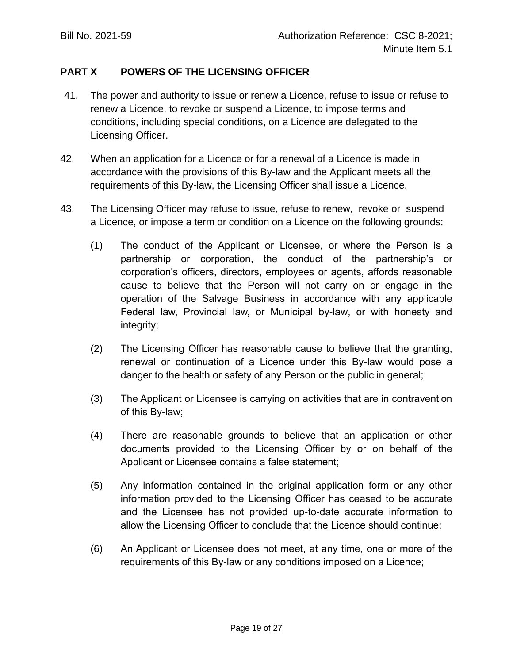## **PART X POWERS OF THE LICENSING OFFICER**

- 41. The power and authority to issue or renew a Licence, refuse to issue or refuse to renew a Licence, to revoke or suspend a Licence, to impose terms and conditions, including special conditions, on a Licence are delegated to the Licensing Officer.
- 42. When an application for a Licence or for a renewal of a Licence is made in accordance with the provisions of this By-law and the Applicant meets all the requirements of this By-law, the Licensing Officer shall issue a Licence.
- 43. The Licensing Officer may refuse to issue, refuse to renew, revoke or suspend a Licence, or impose a term or condition on a Licence on the following grounds:
	- (1) The conduct of the Applicant or Licensee, or where the Person is a partnership or corporation, the conduct of the partnership's or corporation's officers, directors, employees or agents, affords reasonable cause to believe that the Person will not carry on or engage in the operation of the Salvage Business in accordance with any applicable Federal law, Provincial law, or Municipal by-law, or with honesty and integrity;
	- (2) The Licensing Officer has reasonable cause to believe that the granting, renewal or continuation of a Licence under this By-law would pose a danger to the health or safety of any Person or the public in general;
	- (3) The Applicant or Licensee is carrying on activities that are in contravention of this By-law;
	- (4) There are reasonable grounds to believe that an application or other documents provided to the Licensing Officer by or on behalf of the Applicant or Licensee contains a false statement;
	- (5) Any information contained in the original application form or any other information provided to the Licensing Officer has ceased to be accurate and the Licensee has not provided up-to-date accurate information to allow the Licensing Officer to conclude that the Licence should continue;
	- (6) An Applicant or Licensee does not meet, at any time, one or more of the requirements of this By-law or any conditions imposed on a Licence;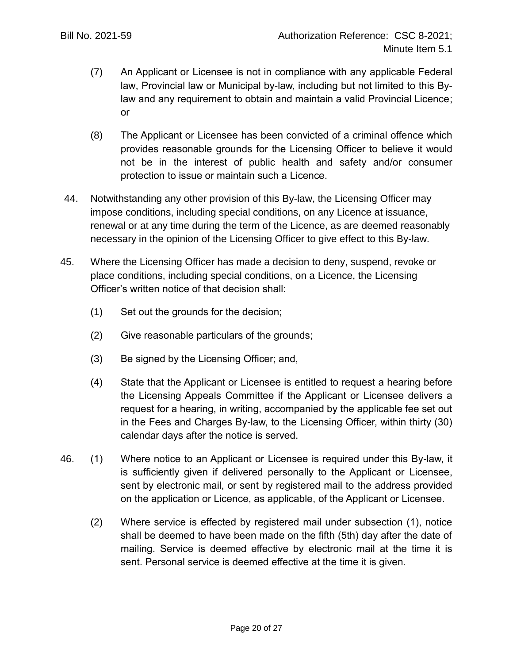- (7) An Applicant or Licensee is not in compliance with any applicable Federal law, Provincial law or Municipal by-law, including but not limited to this Bylaw and any requirement to obtain and maintain a valid Provincial Licence; or
- (8) The Applicant or Licensee has been convicted of a criminal offence which provides reasonable grounds for the Licensing Officer to believe it would not be in the interest of public health and safety and/or consumer protection to issue or maintain such a Licence.
- 44. Notwithstanding any other provision of this By-law, the Licensing Officer may impose conditions, including special conditions, on any Licence at issuance, renewal or at any time during the term of the Licence, as are deemed reasonably necessary in the opinion of the Licensing Officer to give effect to this By-law.
- 45. Where the Licensing Officer has made a decision to deny, suspend, revoke or place conditions, including special conditions, on a Licence, the Licensing Officer's written notice of that decision shall:
	- (1) Set out the grounds for the decision;
	- (2) Give reasonable particulars of the grounds;
	- (3) Be signed by the Licensing Officer; and,
	- (4) State that the Applicant or Licensee is entitled to request a hearing before the Licensing Appeals Committee if the Applicant or Licensee delivers a request for a hearing, in writing, accompanied by the applicable fee set out in the Fees and Charges By-law, to the Licensing Officer, within thirty (30) calendar days after the notice is served.
- 46. (1) Where notice to an Applicant or Licensee is required under this By-law, it is sufficiently given if delivered personally to the Applicant or Licensee, sent by electronic mail, or sent by registered mail to the address provided on the application or Licence, as applicable, of the Applicant or Licensee.
	- (2) Where service is effected by registered mail under subsection (1), notice shall be deemed to have been made on the fifth (5th) day after the date of mailing. Service is deemed effective by electronic mail at the time it is sent. Personal service is deemed effective at the time it is given.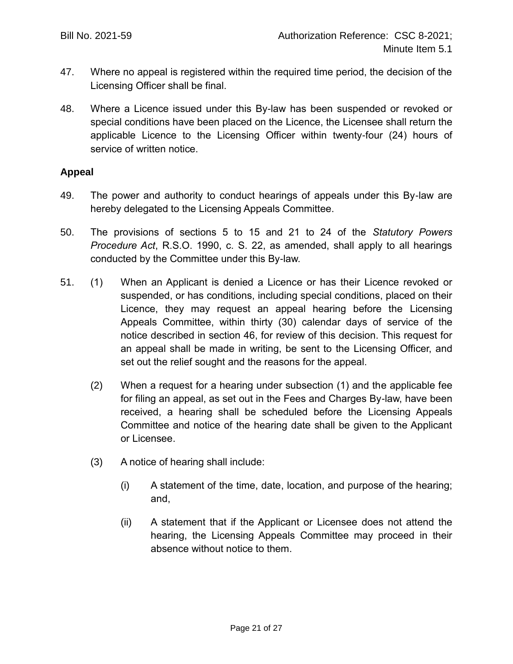- 47. Where no appeal is registered within the required time period, the decision of the Licensing Officer shall be final.
- 48. Where a Licence issued under this By-law has been suspended or revoked or special conditions have been placed on the Licence, the Licensee shall return the applicable Licence to the Licensing Officer within twenty-four (24) hours of service of written notice.

### **Appeal**

- 49. The power and authority to conduct hearings of appeals under this By-law are hereby delegated to the Licensing Appeals Committee.
- 50. The provisions of sections 5 to 15 and 21 to 24 of the *Statutory Powers Procedure Act*, R.S.O. 1990, c. S. 22, as amended, shall apply to all hearings conducted by the Committee under this By-law.
- 51. (1) When an Applicant is denied a Licence or has their Licence revoked or suspended, or has conditions, including special conditions, placed on their Licence, they may request an appeal hearing before the Licensing Appeals Committee, within thirty (30) calendar days of service of the notice described in section 46, for review of this decision. This request for an appeal shall be made in writing, be sent to the Licensing Officer, and set out the relief sought and the reasons for the appeal.
	- (2) When a request for a hearing under subsection (1) and the applicable fee for filing an appeal, as set out in the Fees and Charges By-law, have been received, a hearing shall be scheduled before the Licensing Appeals Committee and notice of the hearing date shall be given to the Applicant or Licensee.
	- (3) A notice of hearing shall include:
		- (i) A statement of the time, date, location, and purpose of the hearing; and,
		- (ii) A statement that if the Applicant or Licensee does not attend the hearing, the Licensing Appeals Committee may proceed in their absence without notice to them.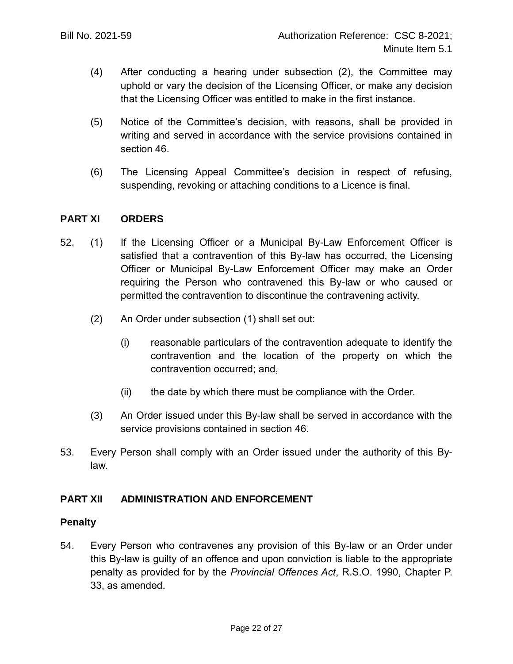- (4) After conducting a hearing under subsection (2), the Committee may uphold or vary the decision of the Licensing Officer, or make any decision that the Licensing Officer was entitled to make in the first instance.
- (5) Notice of the Committee's decision, with reasons, shall be provided in writing and served in accordance with the service provisions contained in section 46.
- (6) The Licensing Appeal Committee's decision in respect of refusing, suspending, revoking or attaching conditions to a Licence is final.

### **PART XI ORDERS**

- 52. (1) If the Licensing Officer or a Municipal By-Law Enforcement Officer is satisfied that a contravention of this By-law has occurred, the Licensing Officer or Municipal By-Law Enforcement Officer may make an Order requiring the Person who contravened this By-law or who caused or permitted the contravention to discontinue the contravening activity.
	- (2) An Order under subsection (1) shall set out:
		- (i) reasonable particulars of the contravention adequate to identify the contravention and the location of the property on which the contravention occurred; and,
		- (ii) the date by which there must be compliance with the Order.
	- (3) An Order issued under this By-law shall be served in accordance with the service provisions contained in section 46.
- 53. Every Person shall comply with an Order issued under the authority of this Bylaw.

## **PART XII ADMINISTRATION AND ENFORCEMENT**

### **Penalty**

54. Every Person who contravenes any provision of this By-law or an Order under this By-law is guilty of an offence and upon conviction is liable to the appropriate penalty as provided for by the *Provincial Offences Act*, R.S.O. 1990, Chapter P. 33, as amended.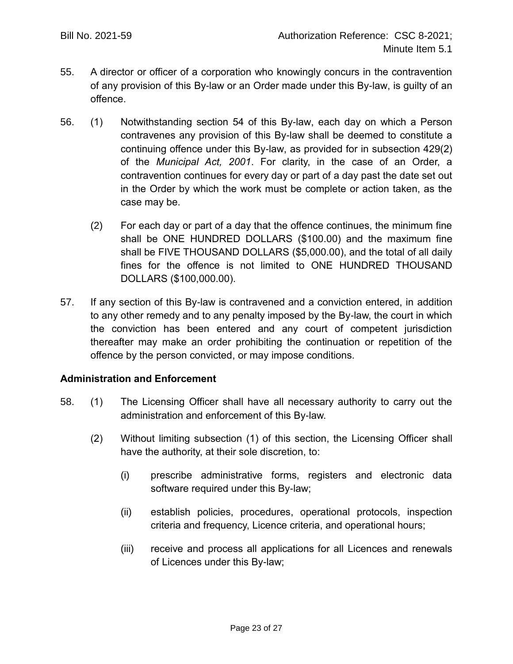- 55. A director or officer of a corporation who knowingly concurs in the contravention of any provision of this By-law or an Order made under this By-law, is guilty of an offence.
- 56. (1) Notwithstanding section 54 of this By-law, each day on which a Person contravenes any provision of this By-law shall be deemed to constitute a continuing offence under this By-law, as provided for in subsection 429(2) of the *Municipal Act, 2001*. For clarity, in the case of an Order, a contravention continues for every day or part of a day past the date set out in the Order by which the work must be complete or action taken, as the case may be.
	- (2) For each day or part of a day that the offence continues, the minimum fine shall be ONE HUNDRED DOLLARS (\$100.00) and the maximum fine shall be FIVE THOUSAND DOLLARS (\$5,000.00), and the total of all daily fines for the offence is not limited to ONE HUNDRED THOUSAND DOLLARS (\$100,000.00).
- 57. If any section of this By-law is contravened and a conviction entered, in addition to any other remedy and to any penalty imposed by the By-law, the court in which the conviction has been entered and any court of competent jurisdiction thereafter may make an order prohibiting the continuation or repetition of the offence by the person convicted, or may impose conditions.

### **Administration and Enforcement**

- 58. (1) The Licensing Officer shall have all necessary authority to carry out the administration and enforcement of this By-law.
	- (2) Without limiting subsection (1) of this section, the Licensing Officer shall have the authority, at their sole discretion, to:
		- (i) prescribe administrative forms, registers and electronic data software required under this By-law;
		- (ii) establish policies, procedures, operational protocols, inspection criteria and frequency, Licence criteria, and operational hours;
		- (iii) receive and process all applications for all Licences and renewals of Licences under this By-law;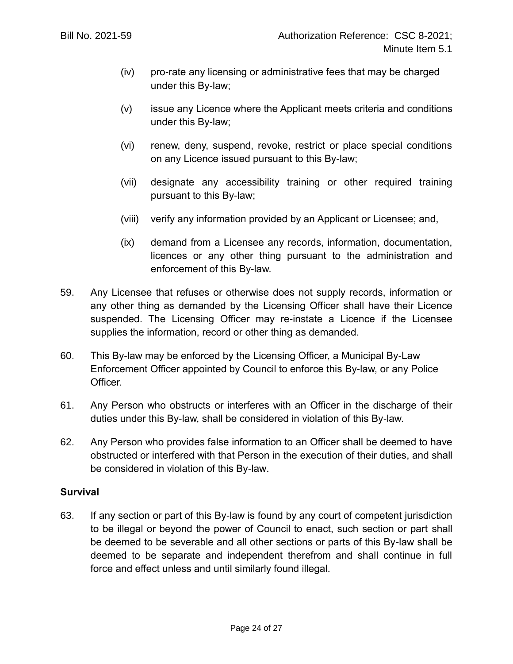- (iv) pro-rate any licensing or administrative fees that may be charged under this By-law;
- (v) issue any Licence where the Applicant meets criteria and conditions under this By-law;
- (vi) renew, deny, suspend, revoke, restrict or place special conditions on any Licence issued pursuant to this By-law;
- (vii) designate any accessibility training or other required training pursuant to this By-law;
- (viii) verify any information provided by an Applicant or Licensee; and,
- (ix) demand from a Licensee any records, information, documentation, licences or any other thing pursuant to the administration and enforcement of this By-law.
- 59. Any Licensee that refuses or otherwise does not supply records, information or any other thing as demanded by the Licensing Officer shall have their Licence suspended. The Licensing Officer may re-instate a Licence if the Licensee supplies the information, record or other thing as demanded.
- 60. This By-law may be enforced by the Licensing Officer, a Municipal By-Law Enforcement Officer appointed by Council to enforce this By-law, or any Police Officer.
- 61. Any Person who obstructs or interferes with an Officer in the discharge of their duties under this By-law, shall be considered in violation of this By-law.
- 62. Any Person who provides false information to an Officer shall be deemed to have obstructed or interfered with that Person in the execution of their duties, and shall be considered in violation of this By-law.

### **Survival**

63. If any section or part of this By-law is found by any court of competent jurisdiction to be illegal or beyond the power of Council to enact, such section or part shall be deemed to be severable and all other sections or parts of this By-law shall be deemed to be separate and independent therefrom and shall continue in full force and effect unless and until similarly found illegal.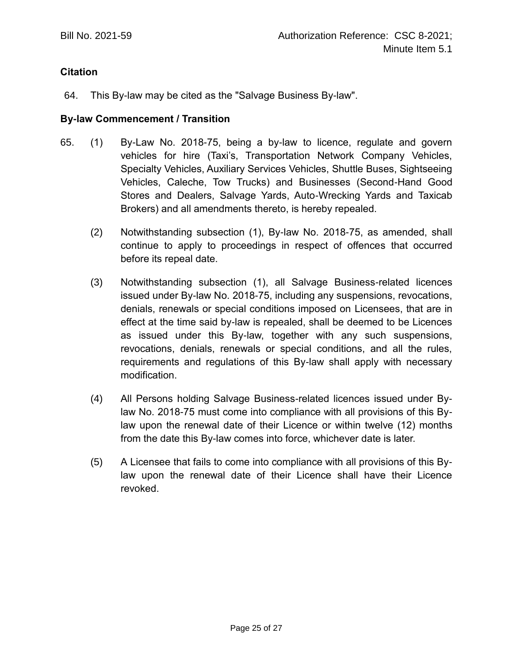## **Citation**

64. This By-law may be cited as the "Salvage Business By-law".

### **By-law Commencement / Transition**

- 65. (1) By-Law No. 2018-75, being a by-law to licence, regulate and govern vehicles for hire (Taxi's, Transportation Network Company Vehicles, Specialty Vehicles, Auxiliary Services Vehicles, Shuttle Buses, Sightseeing Vehicles, Caleche, Tow Trucks) and Businesses (Second-Hand Good Stores and Dealers, Salvage Yards, Auto-Wrecking Yards and Taxicab Brokers) and all amendments thereto, is hereby repealed.
	- (2) Notwithstanding subsection (1), By-law No. 2018-75, as amended, shall continue to apply to proceedings in respect of offences that occurred before its repeal date.
	- (3) Notwithstanding subsection (1), all Salvage Business-related licences issued under By-law No. 2018-75, including any suspensions, revocations, denials, renewals or special conditions imposed on Licensees, that are in effect at the time said by-law is repealed, shall be deemed to be Licences as issued under this By-law, together with any such suspensions, revocations, denials, renewals or special conditions, and all the rules, requirements and regulations of this By-law shall apply with necessary modification.
	- (4) All Persons holding Salvage Business-related licences issued under Bylaw No. 2018-75 must come into compliance with all provisions of this Bylaw upon the renewal date of their Licence or within twelve (12) months from the date this By-law comes into force, whichever date is later.
	- (5) A Licensee that fails to come into compliance with all provisions of this Bylaw upon the renewal date of their Licence shall have their Licence revoked.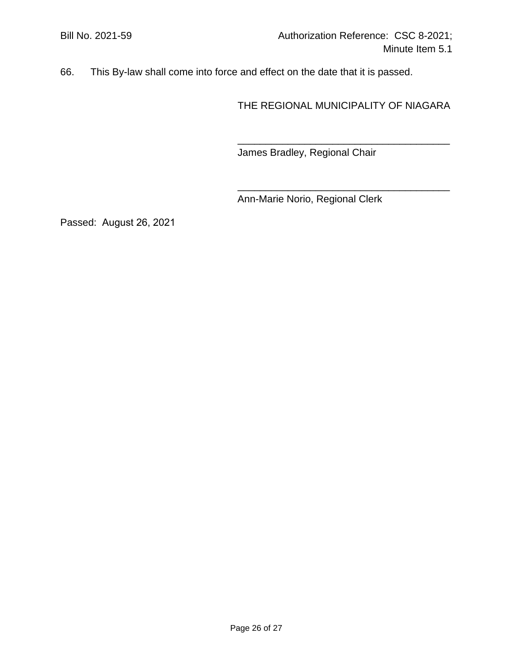66. This By-law shall come into force and effect on the date that it is passed.

THE REGIONAL MUNICIPALITY OF NIAGARA

\_\_\_\_\_\_\_\_\_\_\_\_\_\_\_\_\_\_\_\_\_\_\_\_\_\_\_\_\_\_\_\_\_\_\_\_\_\_

\_\_\_\_\_\_\_\_\_\_\_\_\_\_\_\_\_\_\_\_\_\_\_\_\_\_\_\_\_\_\_\_\_\_\_\_\_\_

James Bradley, Regional Chair

Ann-Marie Norio, Regional Clerk

Passed: August 26, 2021